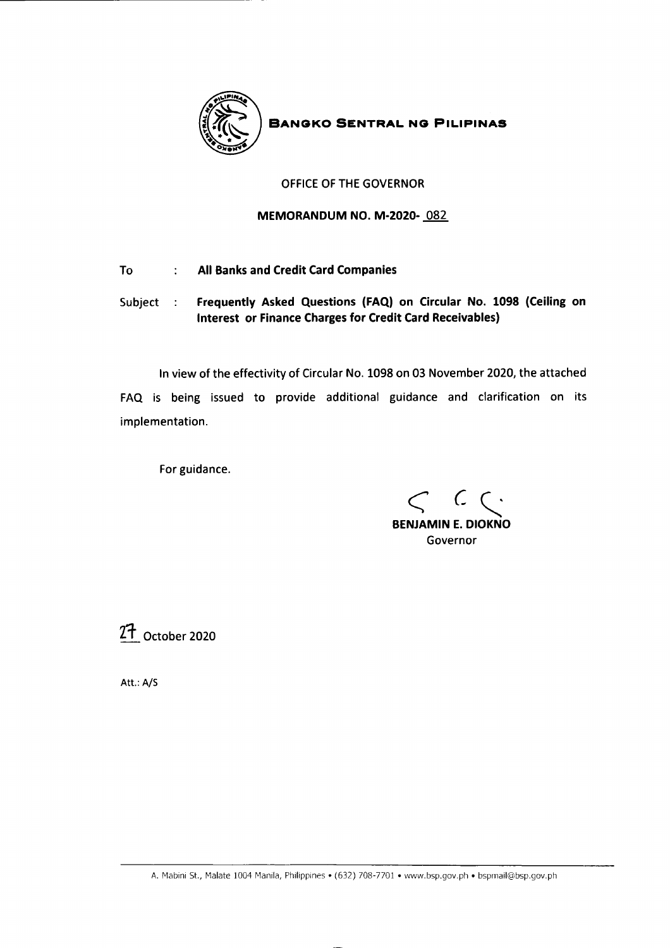

**BANGKO SENTRAL NG PILIPINAS** 

# OFFICE OF THE GOVERNOR

# MEMORANDUM NO. M.2O2O- 082

- All Banks and Credit Card Companies To:  $\frac{1}{2}$  .
- Subject : Frequently Asked Questions (FAQ) on Circular No. 1098 (Ceiling on Interest or Finance Charges for Credit Card Receivables)

In view of the effectivity of Circular No. 1098 on 03 November 2020, the attached FAQ is being issued to provide additional guidance and clarification on its implementation.

For guidance.

BENJAMIN E. DIOKNO Governor  $C$   $C$ 

 $27$  October 2020

Att.: A/S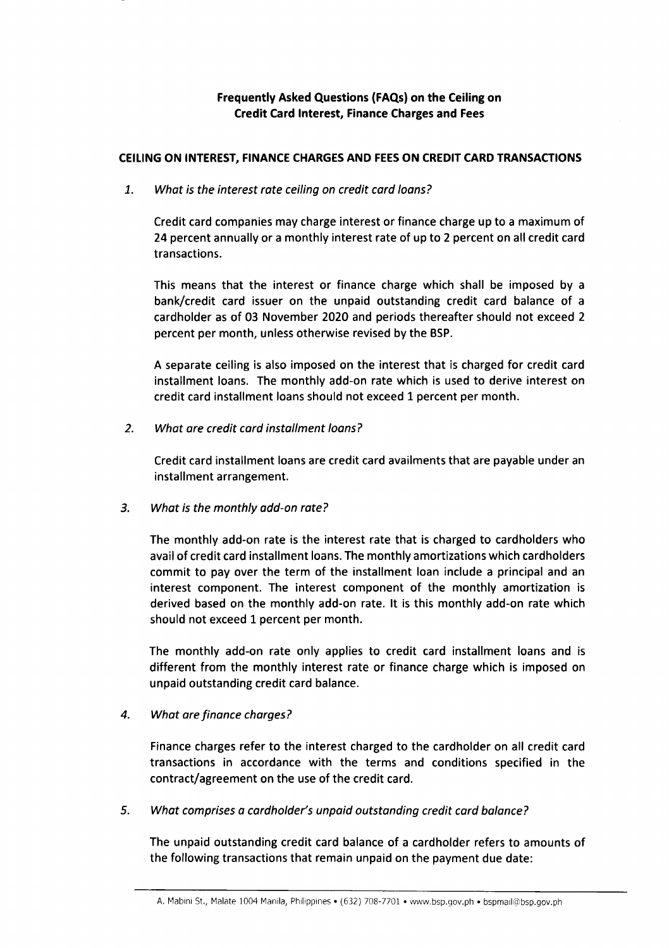Frequently Asked Questions (FAQs) on the Ceiling on Credit Card Interest, Finance Charges and Fees

## CEILING ON INTEREST, FINANCE CHARGES AND FEES ON CREDIT CARD TRANSACTIONS

1. What is the interest rate ceiling on credit card loans?

Credit card companies may charge interest or finance charge up to a maximum of 24 percent annually or a monthly interest rate of up to 2 percent on all credit card transactions.

This means that the interest or finance charge which shall be imposed by <sup>a</sup> bank/credit card issuer on the unpaid outstanding credit card balance of <sup>a</sup> cardholder as of 03 November 2020 and periods thereafter should not exceed 2 percent per month, unless otherwise revised by the BSP.

A separate ceiling is also imposed on the interest that is charged for credit card installment loans. The monthly add-on rate which is used to derive interest on credit card installment loans should not exceed 1 percent per month.

What are credit cord installment loans? 2.

> Credit card installment loans are credit card availments that are payable under an installment arrangement.

What is the monthly add-on rate? 3.

> The monthly add-on rate is the interest rate that is charged to cardholders who avail of credit card installment loans. The monthly amortizations which cardholders commit to pay over the term of the installment loan include a principal and an interest component. The interest component of the monthly amortization is derived based on the monthly add-on rate. lt is this monthly add-on rate which should not exceed 1 percent per month.

> The monthly add-on rate only applies to credit card installment loans and is different from the monthly interest rate or finance charge which is imposed on unpaid outstanding credit card balance.

#### What are finance charges? 4.

Finance charges refer to the interest charged to the cardholder on all credit card transactions in accordance with the terms and conditions specified in the contract/agreement on the use of the credit card.

What comprises a cordholder's unpaid outstanding credit card balance? 5.

The unpaid outstanding credit card balance of a cardholder refers to amounts of the following transactions that remain unpaid on the payment due date: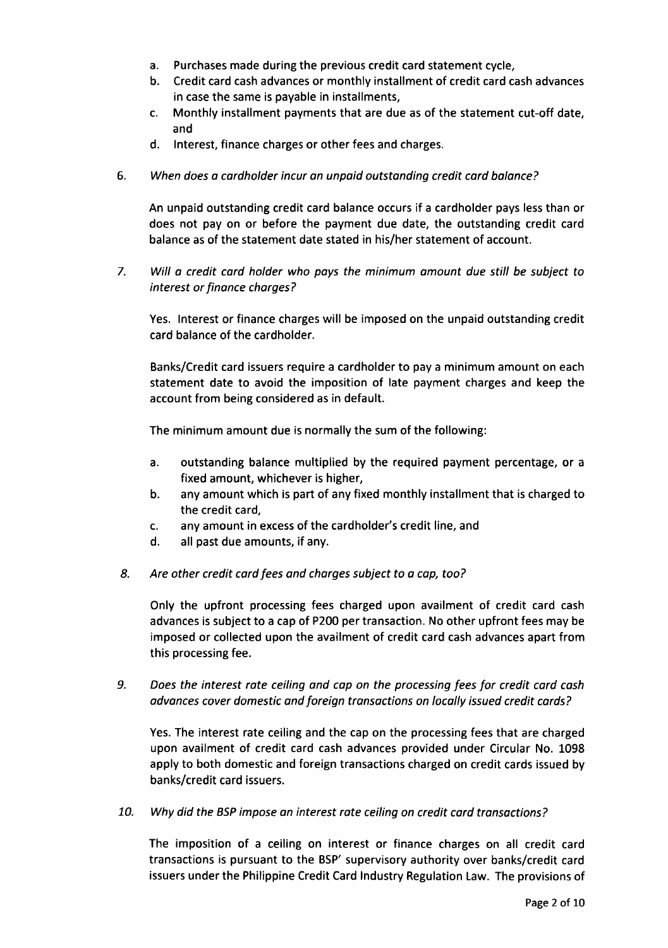- a. Purchases made during the previous credit card statement cycle,
- b. Credit card cash advances or monthly installment of credit card cash advances in case the same is payable in installments,
- c. Monthly installment payments that are due as of the statement cut-off date, and
- d. Interest, finance charges or other fees and charges.
- 6. When does a cardholder incur an unpaid outstanding credit card balance?

An unpaid outstanding credit card balance occurs if a cardholder pays less than or does not pay on or before the payment due date, the outstanding credit card balance as of the statement date stated in his/her statement of account.

7. Will a credit card holder who pays the minimum amount due still be subject to interest or finance charges?

Yes. Interest or finance charges will be imposed on the unpaid outstanding credit card balance of the cardholder.

Banks/Credit card issuers require a cardholder to pay a minimum amount on each statement date to avoid the imposition of late payment charges and keep the account from being considered as in default.

The minimum amount due is normally the sum of the following:

- a. outstanding balance multiplied by the required payment percentage, or <sup>a</sup> fixed amount, whichever is higher,
- b. any amount which is part of any fixed monthly installment that is charged to the credit card,
- c. any amount in excess of the cardholder's credit line, and
- d. all past due amounts, if any.
- 8. Are other credit card fees and charges subject to a cap, too?

Only the upfront processing fees charged upon availment of credit card cash advances is subject to a cap of P200 per transaction. No other upfront fees may be imposed or collected upon the availment of credit card cash advances apart from this processing fee.

9. Does the interest rate ceiling and cap on the processing fees for credit card cash advonces cover domestic and foreign transactions on locally issued credit cords?

Yes. The interest rate ceiling and the cap on the processing fees that are charged upon availment of credit card cash advances provided under Circular No. L098 apply to both domestic and foreign transactions charged on credit cards issued by banks/credit card issuers.

70. Why did the BSP impose an interest rate ceiling on credit card transactions?

The imposition of a ceiling on interest or finance charges on all credit card transactions is pursuant to the BSP' supervisory authority over banks/credit card issuers under the Philippine Credit Card lndustry Regulation Law. The provisions of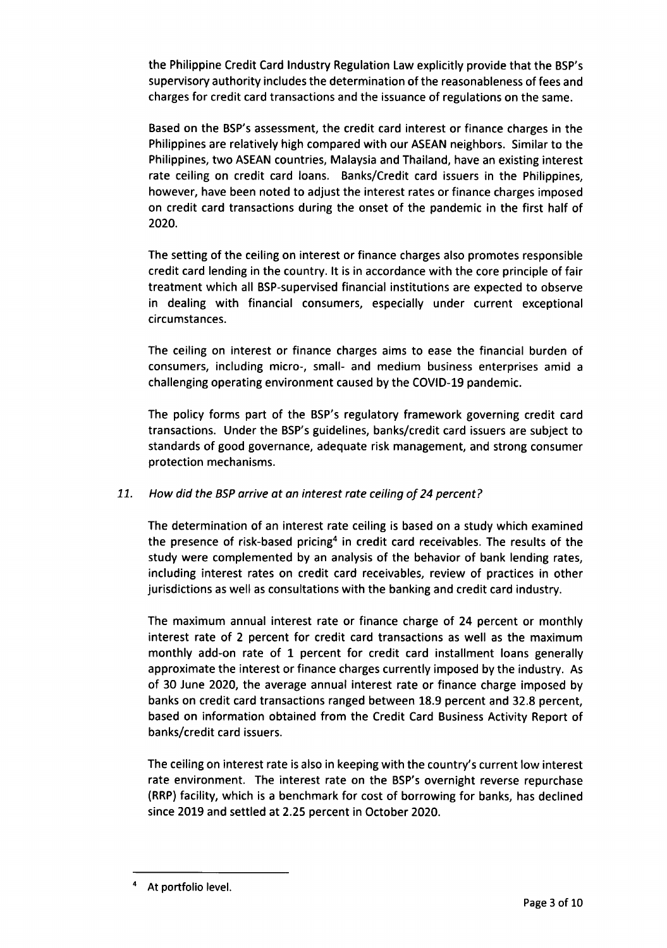the Philippine Credit Card Industry Regulation Law explicitly provide that the BSP's supervisory authority includes the determination of the reasonableness of fees and charges for credit card transactions and the issuance of regulations on the same.

Based on the BSP's assessment, the credit card interest or finance charges in the Philippines are relatively high compared with our ASEAN neighbors. Similar to the Philippines, two ASEAN countries, Malaysia and Thailand, have an existing interest rate ceiling on credit card loans. Banks/Credit card issuers in the Philippines, however, have been noted to adjust the interest rates or finance charges imposed on credit card transactions during the onset of the pandemic in the first half of 2020.

The setting of the ceiling on interest or finance charges also promotes responsible credit card lending in the country. lt is in accordance with the core principle of fair treatment which all BSP-supervised financial institutions are expected to observe in dealing with financial consumers, especially under current exceptional circumstances.

The ceiling on interest or finance charges aims to ease the financial burden of consumers, including micro-, small- and medium business enterprises amid a challenging operating environment caused by the COVID-19 pandemic.

The policy forms part of the BSP's regulatory framework governing credit card transactions. Under the BSP's guidelines, banks/credit card issuers are subject to standards of good governance, adequate risk management, and strong consumer protection mechanisms.

# 71. How did the BSP arrive at an interest rote ceiling of 24 percent?

The determination of an interest rate ceiling is based on a study which examined the presence of risk-based pricing<sup>4</sup> in credit card receivables. The results of the study were complemented by an analysis of the behavior of bank lending rates, including interest rates on credit card receivables, review of practices in other jurisdictions as well as consultations with the banking and credit card industry.

The maximum annual interest rate or finance charge of 24 percent or monthly interest rate of 2 percent for credit card transactions as well as the maximum monthly add-on rate of 1 percent for credit card installment loans generally approximate the interest or finance charges currently imposed by the industry. As of 30 June 2020, the average annual interest rate or finance charge imposed by banks on credit card transactions ranged between 18.9 percent and 32.8 percent, based on information obtained from the Credit Card Business Activity Report of banks/credit card issuers.

The ceiling on interest rate is also in keeping with the country's current low interest rate environment. The interest rate on the BSP's overnight reverse repurchase (RRP) facility, which is a benchmark for cost of borrowing for banks, has declined since 2019 and settled at 2.25 percent in October 2020.

At portfolio level.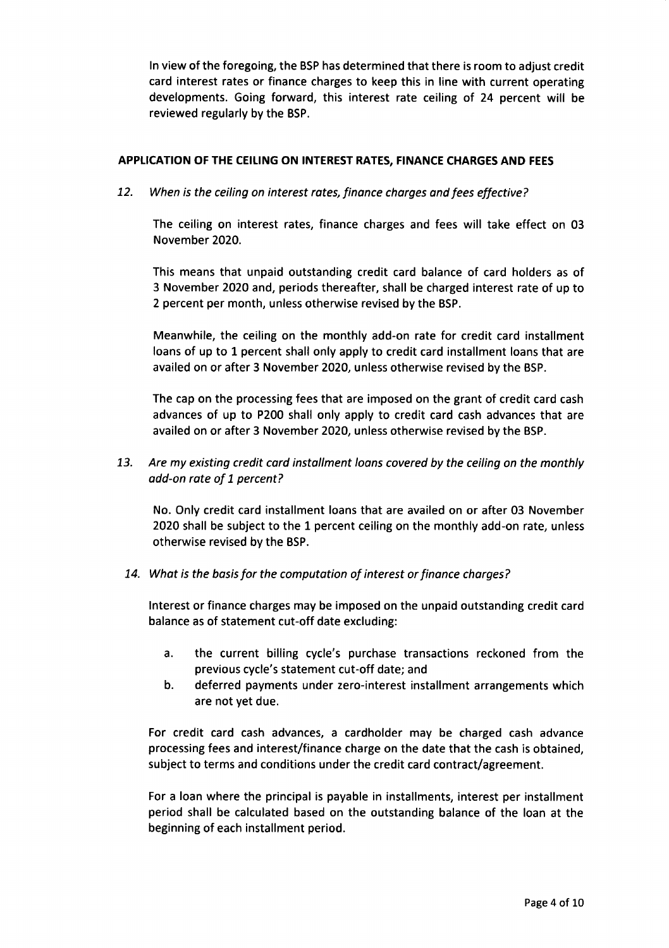In view of the foregoing, the BSP has determined that there is room to adjust credit card interest rates or finance charges to keep this in line with current operating developments. Going forward, this interest rate ceiling of 24 percent will be reviewed regularly by the BSP.

# APPLICATION OF THE CEILIN6 ON INTEREST RATES, FINANCE CHARGES AND FEES

12. When is the ceiling on interest rates, finance charges and fees effective?

The ceiling on interest rates, finance charges and fees will take effect on 03 November 2020.

This means that unpaid outstanding credit card balance of card holders as of 3 November 2O2O and, periods thereafter, shall be charged interest rate of up to 2 percent per month, unless otherwise revised by the BSP.

Meanwhile, the ceiling on the monthly add-on rate for credit card installment loans of up to 1 percent shall only apply to credit card installment loans that are availed on or after 3 November 2O2O, unless otherwise revised by the BSP.

The cap on the processing fees that are imposed on the grant of credit card cash advances of up to P200 shall only apply to credit card cash advances that are availed on or after 3 November 2O2O, unless otherwise revised by the BSP.

13. Are my existing credit card installment loans covered by the ceiling on the monthly add-on rate of 1 percent?

No. Only credit card installment loans that are availed on or after 03 November 2020 shall be subject to the 1 percent ceiling on the monthly add-on rate, unless otherwise revised by the BSP.

14. What is the basis for the computotion of interest or finance charges?

Interest or finance charges may be imposed on the unpaid outstanding credit card balance as of statement cut-off date excluding:

- a. the current billing cycle's purchase transactions reckoned from the previous cycle's statement cut-off date; and
- b. deferred payments under zero-interest installment arrangements which are not yet due.

For credit card cash advances, a cardholder may be charged cash advance processing fees and interest/finance charge on the date that the cash is obtained, subject to terms and conditions under the credit card contract/agreement.

For a loan where the principal is payable in installments, interest per installment period shall be calculated based on the outstanding balance of the loan at the beginning of each installment period.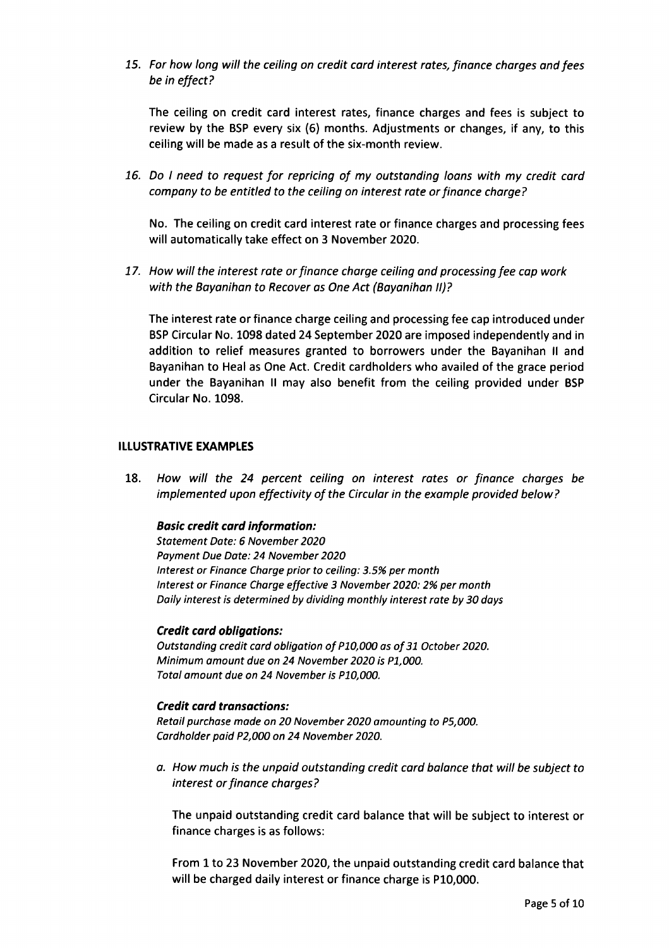15. For how long will the ceiling on credit card interest rates, finance charges and fees be in effect?

The ceiling on credit card interest rates, finance charges and fees is subject to review by the BSP every six (6) months. Adjustments or changes, if any, to this ceiling will be made as a result of the six-month review.

76. Do I need to request for repricing of my outstanding loans with my credit card company to be entitled to the ceiling on interest rate or finance charge?

No. The ceiling on credit card interest rate or finance charges and processing fees will automatically take effect on 3 November 2020.

17. How will the interest rate or finance charge ceiling and processing fee cap work with the Bayanihan to Recover as One Act (Bayanihan II)?

The interest rate or finance charge ceiling and processing fee cap introduced under BSP Circular No. 1098 dated 24 September 2020 are imposed independently and in addition to relief measures granted to borrowers under the Bayanihan ll and Bayanihan to Heal as One Act. Credit cardholders who availed of the grace period under the Bayanihan ll may also benefit from the ceiling provided under BSP Circular No. 1098.

#### **ILLUSTRATIVE EXAMPLES**

18. How will the 24 percent ceiling on interest rates or finance charges be implemented upon effectivity of the Circular in the example provided below?

## Bosic credit cord information:

Stotement Dote: 6 November 2020 Payment Due Date: 24 November 2020 lnterest or Finonce Charge prior to ceiling: 3.5% per month lnterest or Finance Charge effective 3 November 2020: 2% per month Daily interest is determined by dividing monthly interest rate by 30 doys

#### Credit card obligations:

Outstanding credit card obligation of P10,000 as of 31 October 2020. Minimum amount due on 24 November 2020 is P1,000. Total amount due on 24 November is P10,000.

## Credit card transactions:

Retoil purchase mode on 20 November 2020 amounting to P5,000. Cordholder paid P2,000 on 24 November 2020.

a. How much is the unpoid outstanding credit card balance that will be subject to interest or finance charges?

The unpaid outstanding credit card balance that will be subject to interest or finance charges is as follows:

From L to 23 November 2020, the unpaid outstanding credit card balance that will be charged daily interest or finance charge is P10,000.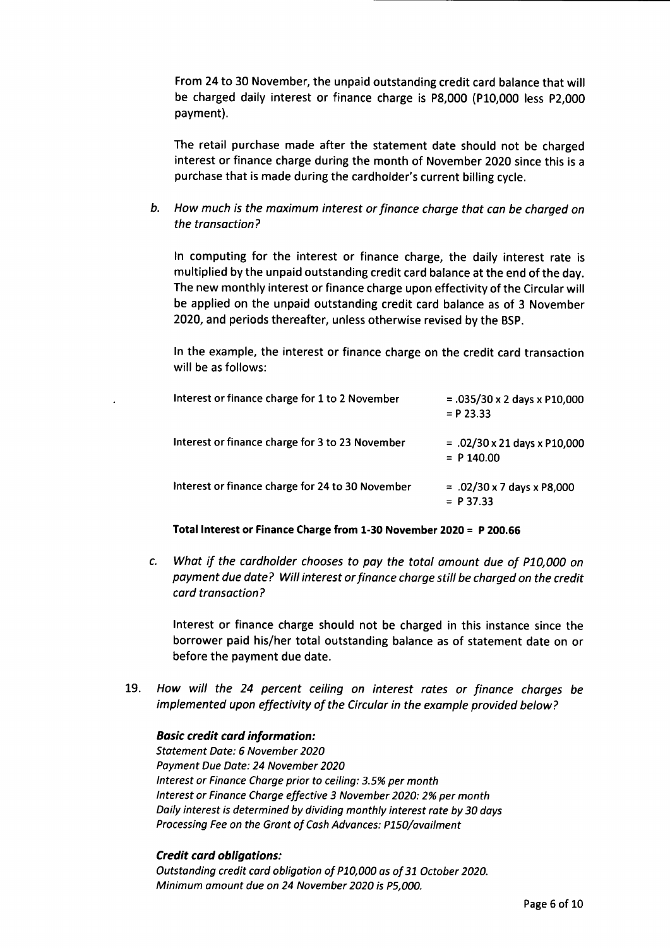From24 to 30 November, the unpaid outstanding credit card balance that will be charged daily interest or finance charge is P8,000 (P10,000 less P2,000 payment).

The retail purchase made after the statement date should not be charged interest or finance charge during the month of November 2O2O since this is <sup>a</sup> purchase that is made during the cardholder's current billing cycle.

b. How much is the maximum interest or finance charge that can be charged on the tronsaction?

ln computing for the interest or finance charge, the daily interest rate is multiplied by the unpaid outstanding credit card balance at the end of the day. The new monthly interest or finance charge upon effectivity of the Circular will be applied on the unpaid outstanding credit card balance as of 3 November 2O20, and periods thereafter, unless otherwise revised by the BSP.

In the example, the interest or finance charge on the credit card transaction will be as follows:

| Interest or finance charge for 1 to 2 November   | $= .035/30 \times 2$ days x P10,000<br>$= P$ 23.33  |
|--------------------------------------------------|-----------------------------------------------------|
| Interest or finance charge for 3 to 23 November  | $= .02/30 \times 21$ days x P10,000<br>$= P 140.00$ |
| Interest or finance charge for 24 to 30 November | $= .02/30 \times 7$ days x P8,000<br>$= P37.33$     |

Total Interest or Finance Charge from 1-30 November 2O2O = P 200.55

c. What if the cardholder chooses to poy the totol amount due of P70,000 on payment due dote? Will interest or finance charge still be chorged on the credit cord transoction?

Interest or finance charge should not be charged in this instance since the borrower paid his/her total outstanding balance as of statement date on or before the payment due date.

19. How will the 24 percent ceiling on interest rates or finance charges be implemented upon effectivity of the Circulor in the exomple provided below?

#### **Basic credit card information:**

Stotement Date: 6 November 2O2O Poyment Due Dote: 24 November 2020 lnterest or Finonce Charge prior to ceiling: 3.5% per month lnterest or Finance Charge effective 3 November 2020: 2% per month Doily interest is determined by dividing monthly interest rote by 30 days Processing Fee on the Grant of Cash Advances: P150/ovoilment

#### Credit card obligations:

Outstonding credit card obligotion of P70,000 os of 31 October 2020. Minimum omount due on 24 November 2020 is P5,000.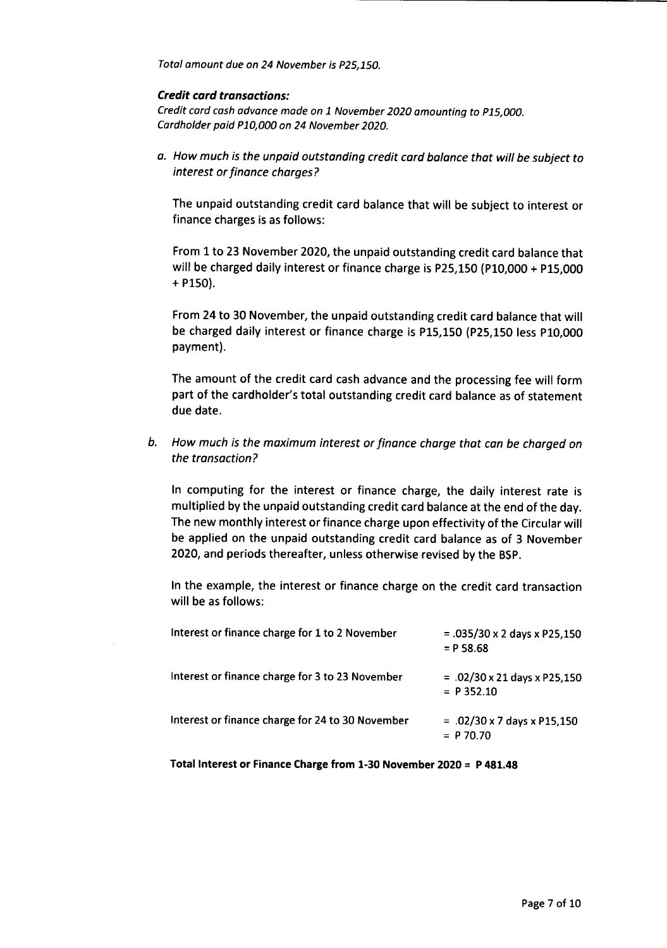Total amount due on 24 November is P25,150.

## Credit card transactions:

Credit card cash advance made on 1 November 2020 amounting to P15,000. Cardholder poid P70,000 on 24 November 2020.

a. How much is the unpaid outstanding credit card balance that will be subject to interest or finance chorges?

The unpaid outstanding credit card balance that will be subject to interest or finance charges is as follows:

From 1 to 23 November 2O2O, the unpaid outstanding credit card balance that will be charged daily interest or finance charge is P25,150 (P10,000 + P15,000 + p150).

From 24 to 30 November, the unpaid outstanding credit card balance that will be charged daily interest or finance charge is P15,150 (p25,150 less p10,000 payment).

The amount of the credit card cash advance and the processing fee will form part of the cardholder's total outstanding credit card balance as of statement due date.

b. How much is the maximum interest or finance charge that can be chorged on the transoction?

In computing for the interest or finance charge, the daily interest rate is multiplied by the unpaid outstanding credit card balance at the end of the day. The new monthly interest or finance charge upon effectivity of the Circular will be applied on the unpaid outstanding credit card balance as of 3 November 2020, and periods thereafter, unless otherwise revised by the BSp.

In the example, the interest or finance charge on the credit card transaction will be as follows:

| Interest or finance charge for 1 to 2 November   | $= .035/30 \times 2$ days x P25,150<br>$= P 58.68$  |
|--------------------------------------------------|-----------------------------------------------------|
| Interest or finance charge for 3 to 23 November  | $= .02/30 \times 21$ days x P25,150<br>$= P$ 352.10 |
| Interest or finance charge for 24 to 30 November | $= .02/30 \times 7$ days x P15,150<br>$= P$ 70.70   |

Total lnterest or Finance Charge from 1-30 November 2O2O = P 481.48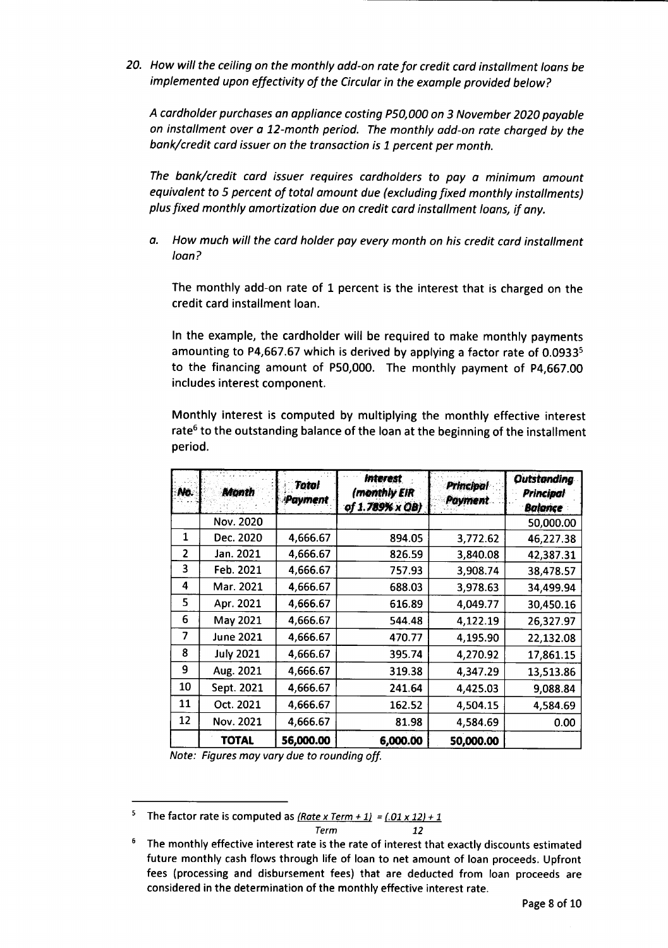20. How will the ceiling on the monthly add-on rate for credit card installment loans be implemented upon effectivity of the Circulor in the exomple provided below?

A cardholder purchases an oppliance costing P50,000 on 3 November 2020 poyabte on installment over o 72-month period. The monthly add-on rate charged by the bank/credit card issuer on the transaction is 1 percent per month.

The bank/credit card issuer requires cardholders to pay a minimum amount equivalent to 5 percent of total omount due (excluding fixed monthly instollments) plus fixed monthly amortization due on credit cord installment loans, if any.

a. How much will the card holder pay every month on his credit card installment loon?

The monthly add-on rate of L percent is the interest that is charged on the credit card installment loan.

In the example, the cardholder will be required to make monthly payments amounting to P4,667.67 which is derived by applying a factor rate of  $0.0933<sup>5</sup>$ to the financing amount of P50,000. The monthly payment of P4,667.00 includes interest component.

Monthly interest is computed by multiplying the monthly effective interest rate<sup>6</sup> to the outstanding balance of the loan at the beginning of the installment period.

| No.            | Month            | Total<br>Payment | <b>Interest</b><br>(monthly EIR<br>of 1.789% x QB) | <b>Principal</b><br><b>Payment</b> | <b>Outstanding</b><br><b>Principal</b><br><b>Balance</b> |
|----------------|------------------|------------------|----------------------------------------------------|------------------------------------|----------------------------------------------------------|
|                | Nov. 2020        |                  |                                                    |                                    | 50,000.00                                                |
| 1              | Dec. 2020        | 4,666.67         | 894.05                                             | 3,772.62                           | 46,227.38                                                |
| $\overline{2}$ | Jan. 2021        | 4,666.67         | 826.59                                             | 3,840.08                           | 42,387.31                                                |
| 3              | Feb. 2021        | 4,666.67         | 757.93                                             | 3,908.74                           | 38,478.57                                                |
| 4              | Mar. 2021        | 4,666.67         | 688.03                                             | 3,978.63                           | 34,499.94                                                |
| 5              | Apr. 2021        | 4,666.67         | 616.89                                             | 4,049.77                           | 30,450.16                                                |
| 6              | May 2021         | 4,666.67         | 544.48                                             | 4,122.19                           | 26,327.97                                                |
| 7              | <b>June 2021</b> | 4,666.67         | 470.77                                             | 4,195.90                           | 22,132.08                                                |
| 8              | <b>July 2021</b> | 4,666.67         | 395.74                                             | 4,270.92                           | 17,861.15                                                |
| 9              | Aug. 2021        | 4,666.67         | 319.38                                             | 4,347.29                           | 13,513.86                                                |
| 10             | Sept. 2021       | 4,666.67         | 241.64                                             | 4,425.03                           | 9,088.84                                                 |
| 11             | Oct. 2021        | 4,666.67         | 162.52                                             | 4,504.15                           | 4,584.69                                                 |
| 12             | Nov. 2021        | 4,666.67         | 81.98                                              | 4,584.69                           | 0.00                                                     |
|                | TOTAL            | 56,000.00        | 6,000.00                                           | 50,000.00                          |                                                          |

Note: Figures moy vary due to rounding off.

The factor rate is computed as  $(Rate \times Term + 1) = (.01 \times 12) + 1$ 5  $Term$   $12$ 

The monthly effective interest rate is the rate of interest that exactly discounts estimated future monthly cash flows through life of loan to net amount of loan proceeds. Upfront fees (processing and disbursement fees) that are deducted from loan proceeds are considered in the determination of the monthly effective interest rate.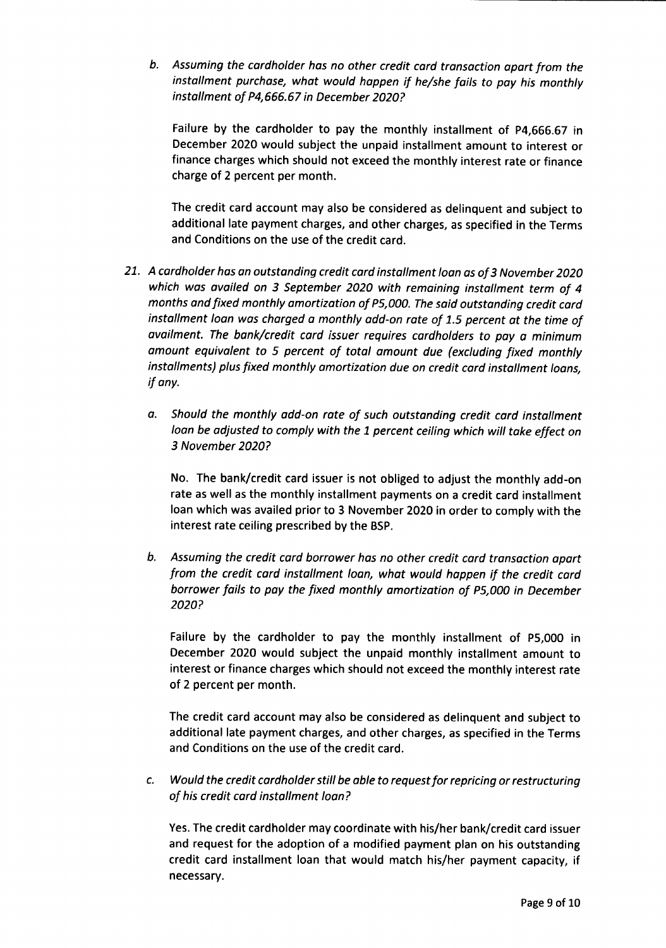Assuming the cardholder has no other credit card transaction apart from the installment purchase, whot would happen if he/she fails to poy his monthly installment of P4,666.67 in December 2020?

Failure by the cardholder to pay the monthly installment of p4,666.67 in December 2020 would subject the unpaid installment amount to interest or finance charges which should not exceed the monthly interest rate or finance charge of 2 percent per month.

The credit card account may also be considered as delinquent and subject to additional late payment charges, and other charges, as specified in the Terms and Conditions on the use of the credit card.

- 21. A cardholder has an outstanding credit card installment loan as of 3 November 2020 which was availed on 3 September 2020 with remaining installment term of 4 months and fixed monthly amortization of P5,000. The said outstanding credit card installment loan was charged a monthly add-on rate of 1.5 percent at the time of availment. The bank/credit card issuer requires cardholders to pay a minimum omount equivalent to 5 percent of total amount due (excluding fixed monthly installments) plus fixed monthly amortization due on credit card installment loans, if ony.
	- o. Should the monthly add-on rote of such outstanding credit card installment loan be adjusted to comply with the 1 percent ceiling which will take effect on 3 November 2020?

No. The bank/credit card issuer is not obliged to adjust the monthly add-on rate as well as the monthly installment payments on a credit card installment loan which was availed prior to 3 November 2020 in order to comply with the interest rate ceiling prescribed by the BSP.

Assuming the credit cord borrower hos no other credit card transaction apart b. from the credit card instollment loan, what would happen if the credit cord borrower fails to pay the fixed monthly amortization of P5,000 in December 2020?

Failure by the cardholder to pay the monthly installment of P5,000 in December 2020 would subject the unpaid monthly installment amount to interest or finance charges which should not exceed the monthly interest rate of 2 percent per month.

The credit card account may also be considered as delinquent and subject to additional late payment charges, and other charges, as specified in the Terms and Conditions on the use of the credit card.

Would the credit cordholder still be able to request for repricing or restructuring c. of his credit card installment loan?

Yes. The credit cardholder may coordinate with his/her bank/credit card issuer and request for the adoption of a modified payment plan on his outstanding credit card installment loan that would match his/her payment capacity, if necessary.